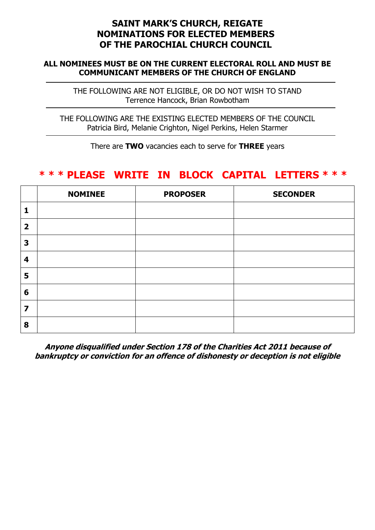### **SAINT MARK'S CHURCH, REIGATE NOMINATIONS FOR ELECTED MEMBERS OF THE PAROCHIAL CHURCH COUNCIL**

### **ALL NOMINEES MUST BE ON THE CURRENT ELECTORAL ROLL AND MUST BE COMMUNICANT MEMBERS OF THE CHURCH OF ENGLAND**

THE FOLLOWING ARE NOT ELIGIBLE, OR DO NOT WISH TO STAND Terrence Hancock, Brian Rowbotham

THE FOLLOWING ARE THE EXISTING ELECTED MEMBERS OF THE COUNCIL Patricia Bird, Melanie Crighton, Nigel Perkins, Helen Starmer

There are **TWO** vacancies each to serve for **THREE** years

## **\* \* \* PLEASE WRITE IN BLOCK CAPITAL LETTERS \* \* \***

|                         | <b>NOMINEE</b> | <b>PROPOSER</b> | <b>SECONDER</b> |
|-------------------------|----------------|-----------------|-----------------|
| $\mathbf{1}$            |                |                 |                 |
| $\overline{\mathbf{2}}$ |                |                 |                 |
| 3                       |                |                 |                 |
| 4                       |                |                 |                 |
| 5                       |                |                 |                 |
| 6                       |                |                 |                 |
| $\overline{\mathbf{z}}$ |                |                 |                 |
| 8                       |                |                 |                 |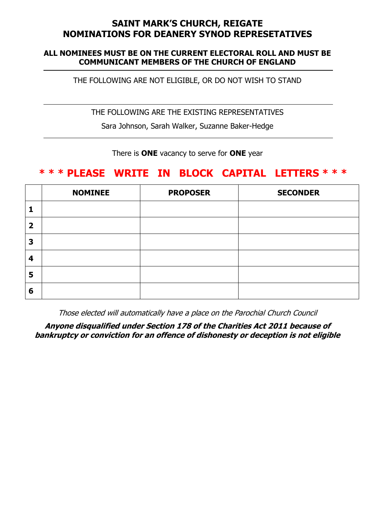### **SAINT MARK'S CHURCH, REIGATE NOMINATIONS FOR DEANERY SYNOD REPRESETATIVES**

### **ALL NOMINEES MUST BE ON THE CURRENT ELECTORAL ROLL AND MUST BE COMMUNICANT MEMBERS OF THE CHURCH OF ENGLAND**

THE FOLLOWING ARE NOT ELIGIBLE, OR DO NOT WISH TO STAND

#### THE FOLLOWING ARE THE EXISTING REPRESENTATIVES

Sara Johnson, Sarah Walker, Suzanne Baker-Hedge

#### There is **ONE** vacancy to serve for **ONE** year

## **\* \* \* PLEASE WRITE IN BLOCK CAPITAL LETTERS \* \* \***

|                | <b>NOMINEE</b> | <b>PROPOSER</b> | <b>SECONDER</b> |
|----------------|----------------|-----------------|-----------------|
|                |                |                 |                 |
| $\overline{2}$ |                |                 |                 |
| 3              |                |                 |                 |
| 4              |                |                 |                 |
| 5              |                |                 |                 |
| 6              |                |                 |                 |

Those elected will automatically have a place on the Parochial Church Council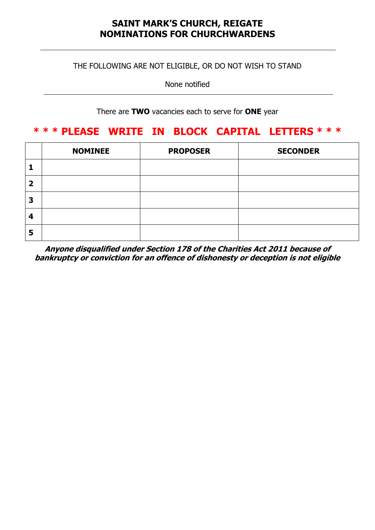## **SAINT MARK'S CHURCH, REIGATE NOMINATIONS FOR CHURCHWARDENS**

#### THE FOLLOWING ARE NOT ELIGIBLE, OR DO NOT WISH TO STAND

None notified

There are **TWO** vacancies each to serve for **ONE** year

## **\* \* \* PLEASE WRITE IN BLOCK CAPITAL LETTERS \* \* \***

|                         | <b>NOMINEE</b> | <b>PROPOSER</b> | <b>SECONDER</b> |
|-------------------------|----------------|-----------------|-----------------|
|                         |                |                 |                 |
| $\overline{\mathbf{2}}$ |                |                 |                 |
| З                       |                |                 |                 |
| $\overline{\mathbf{4}}$ |                |                 |                 |
| 5                       |                |                 |                 |